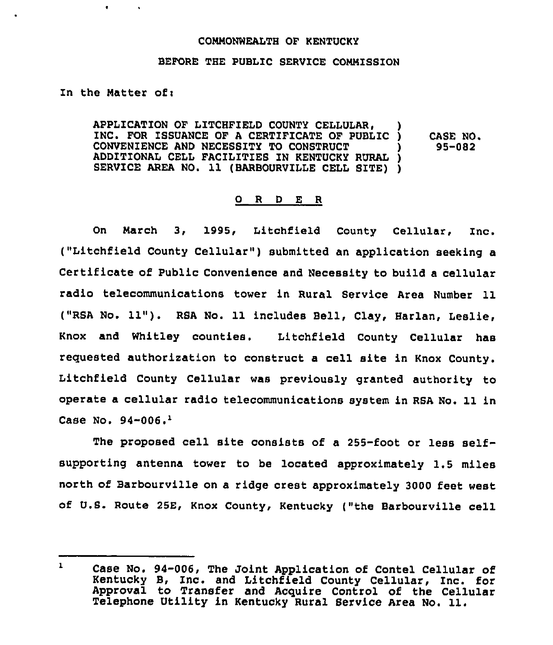## COMMONWEALTH OF KENTUCKY

## BEFORE THE PUBLIC SERVICE COMMISSION

In the Matter of:

 $\bullet$ 

APPLICATION OF LITCHFIELD COUNTY CELLULAR' INC, FOR ISSUANCE OF <sup>A</sup> CERTIFICATE OF PUBLIC ) CONVENIENCE AND NECESSITY TO CONSTRUCT ) ADDITIONAL CELL FACILITIES ZN KENTUCKY RURAL ) SERVICE AREA NO. 11 (BARBOURVILLE CELL SITE) ) CASE NO. 95-082

## 0 R <sup>D</sup> E R

On March 3, 1995, Litchfield County Cellular, Inc. ("Litchfield County Cellular" ) submitted an application seeking <sup>a</sup> Certificate of Public Convenience and Necessity to build a cellular radio telecommunications tower in Rural Service Area Number 11 ("RSA No. 11"). RSA No. 11 includes Bell, Clay, Harlan, Leslie, Knox and Whitley counties. Litchfield County Cellular has reguested authorization to construct a cell site in Knox County. Litchfield County Cellular was previously granted authority to operate a cellular radio telecommunications system in RSA No. 11 in Case No.  $94-006.$ <sup>1</sup>

The proposed cell site consists of a  $255$ -foot or less selfsupporting antenna tower to be located approximately 1.5 miles north of Barbourville on a ridge crest approximately 3000 feet west of U.S. Route 25E, Knox County, Kentucky ("the Barbourville cell

 $\mathbf{1}$ Case No. 94-006, The Joint Application of Contel Cellular of Kentucky B, Inc. and Litchfield County Cellular, Inc. for Approval to Transfer and Acquire Control of the Cellula Telephone Utility in Kentucky Rural Service Area No. 11.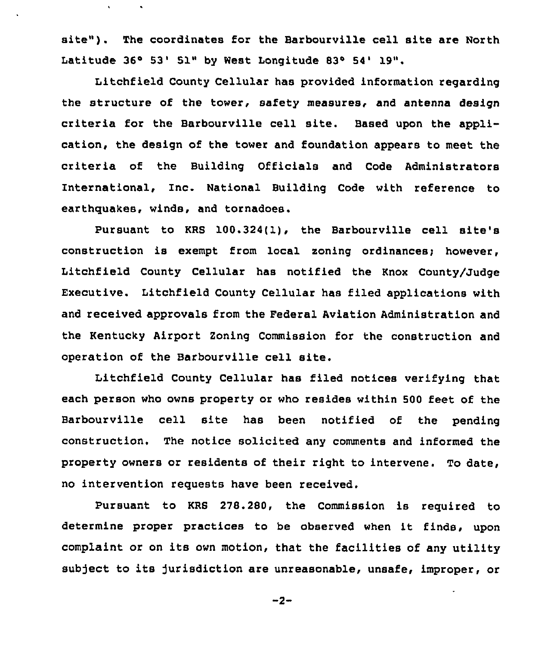site"). The coordinates for the Barbourville cell site are North Latitude 36° 53' 51" by West Longitude 83° 54' 19".

 $\mathbf{v}$ 

 $\bullet$ 

Litchfield County Cellular has provided information regarding the structure of the tower, safety measures, and antenna design criteria for the Barbourville cell site. Based upon the application, the design of the tower and foundation appears to meet the criteria of the Building Officials and Code Administrators International, Inc. National Building Code with reference to earthquakes, winds, and tornadoes.

Pursuant to KRB 100.324(l), the Barbourville cell site's construction is exempt from local zoning ordinances; however, Litchfield County Cellular has notified the Knox County/Judge Executive. Litchfield County Cellular has filed applications with and received approvals from the Federal Aviation Administration and the Kentucky Airport Zoning Commission for the construction and operation of the Barbourville cell site.

Litchfield County Cellular has filed notices verifying that each person who owns property or who resides within 500 feet of the Barbourville cell site has been notified of the pending construction, The notice solicited any comments and informed the property owners or residents of their right to intervene. To date, no intervention requests have been received.

Pursuant to KRB 278.280, the Commission is required to determine proper practices to be observed when it finds, upon complaint or on its own motion, that the facilities of any utility subject to its jurisdiction are unreasonable, unsafe, improper, or

 $-2-$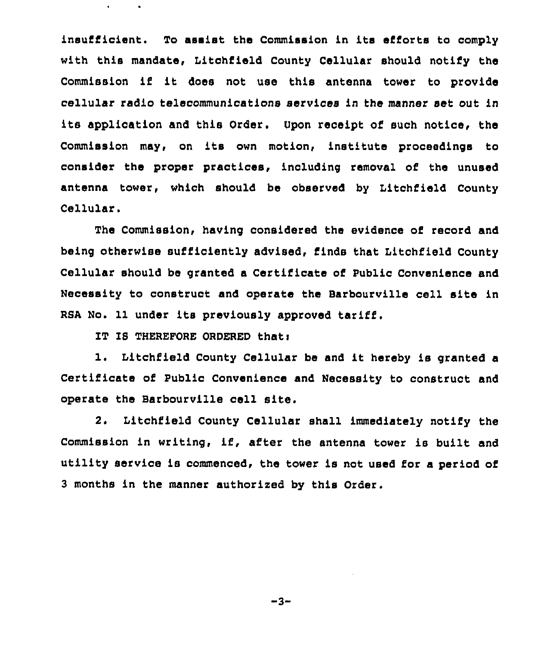insufficient. To assist the Commission in its efforts to comply with this mandate, Litchfield County Cellular should notify the Commission if it doss not use this antenna tower to provide cellular radio telecommunications services in the manner set out in its application and this Order. Upon receipt of such notice, the Commission may, on its own motion, institute proceedings to consider the proper practices, including removal of the unused antenna tower, which should be observed by Litchfield County Cellular.

The Commission, having considered the evidence of record and being otherwise sufficiently advised, finds that Litchfield County Cellular should be granted a Certificate of Public Convenience and Necessity to construct and operate the Barbourville cell site in RSA No. 11 under its previously approved tariff.

IT IS THEREFORE ORDERED that:

 $\bullet$ 

1. Litchfield County Cellular be and it hereby is granted <sup>a</sup> Certificate of Public Convenience and Necessity to construct and operate the Barbourville cell site.

2. Litchfield County Cellular shall immediately notify the Commission in writing, if, after the antenna tower is built and utility service is commenced, the tower is not used for a period of 3 months in the manner authorised by this Order.

-3~